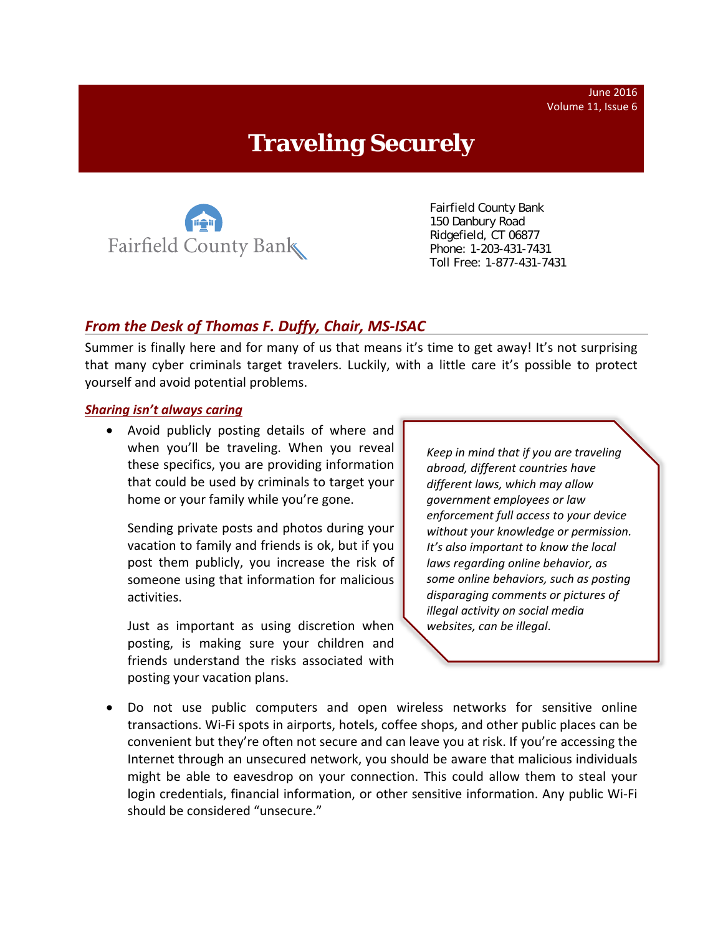June 2016 Volume 11, Issue 6

# **Traveling Securely**



 Fairfield County Bank 150 Danbury Road Ridgefield, CT 06877 Phone: 1-203-431-7431 Toll Free: 1-877-431-7431

## *From the Desk of Thomas F. Duffy, Chair, MS‐ISAC*

Summer is finally here and for many of us that means it's time to get away! It's not surprising that many cyber criminals target travelers. Luckily, with a little care it's possible to protect yourself and avoid potential problems.

#### *Sharing isn't always caring*

 Avoid publicly posting details of where and when you'll be traveling. When you reveal these specifics, you are providing information that could be used by criminals to target your home or your family while you're gone.

Sending private posts and photos during your vacation to family and friends is ok, but if you post them publicly, you increase the risk of someone using that information for malicious activities.

Just as important as using discretion when posting, is making sure your children and friends understand the risks associated with posting your vacation plans.

*Keep in mind that if you are traveling abroad, different countries have different laws, which may allow government employees or law enforcement full access to your device without your knowledge or permission. It's also important to know the local laws regarding online behavior, as some online behaviors, such as posting disparaging comments or pictures of illegal activity on social media websites, can be illegal*.

 Do not use public computers and open wireless networks for sensitive online transactions. Wi‐Fi spots in airports, hotels, coffee shops, and other public places can be convenient but they're often not secure and can leave you at risk. If you're accessing the Internet through an unsecured network, you should be aware that malicious individuals might be able to eavesdrop on your connection. This could allow them to steal your login credentials, financial information, or other sensitive information. Any public Wi‐Fi should be considered "unsecure."